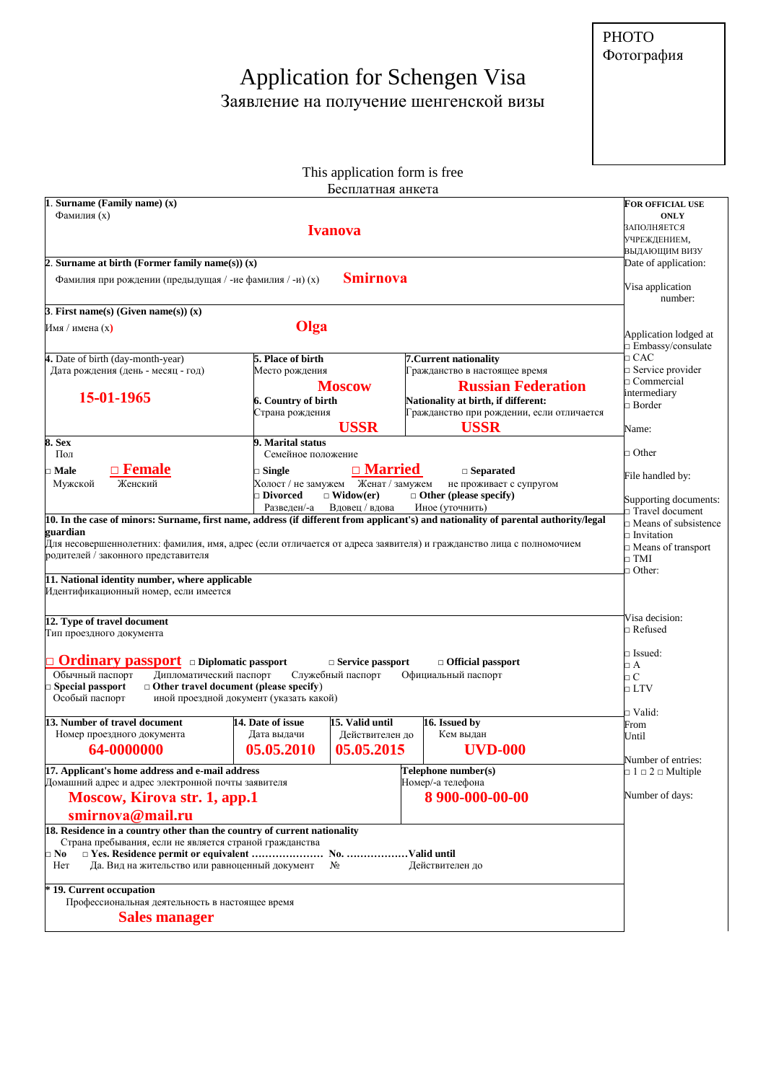## [Application for Schengen Visa](https://zavizoi.ru/vizy/v-lyuksemburg.html)  Заявление на получение шенгенской визы

PHOTO Фотография

## This application form is free Бесплатная анкета

| 1. Surname (Family name) $(x)$                                                                                                      |                                               |                         |                                                                                                                                     | <b>FOR OFFICIAL USE</b>                    |  |  |
|-------------------------------------------------------------------------------------------------------------------------------------|-----------------------------------------------|-------------------------|-------------------------------------------------------------------------------------------------------------------------------------|--------------------------------------------|--|--|
| Фамилия (х)                                                                                                                         | <b>ONLY</b><br>ЗАПОЛНЯЕТСЯ                    |                         |                                                                                                                                     |                                            |  |  |
|                                                                                                                                     | УЧРЕЖДЕНИЕМ,                                  |                         |                                                                                                                                     |                                            |  |  |
|                                                                                                                                     |                                               |                         |                                                                                                                                     | ВЫДАЮЩИМ ВИЗУ                              |  |  |
| 2. Surname at birth (Former family name(s)) $(x)$                                                                                   | Date of application:                          |                         |                                                                                                                                     |                                            |  |  |
| Фамилия при рождении (предыдущая / -ие фамилия / -и) (х)                                                                            |                                               |                         |                                                                                                                                     |                                            |  |  |
|                                                                                                                                     |                                               |                         |                                                                                                                                     | Visa application<br>number:                |  |  |
| 3. First name(s) (Given name(s)) $(x)$                                                                                              |                                               |                         |                                                                                                                                     |                                            |  |  |
| Olga<br>Имя / имена (х)                                                                                                             |                                               |                         |                                                                                                                                     |                                            |  |  |
|                                                                                                                                     |                                               |                         |                                                                                                                                     | Application lodged at<br>Embassy/consulate |  |  |
| 4. Date of birth (day-month-year)                                                                                                   | 5. Place of birth                             |                         | 7. Current nationality                                                                                                              | $\Box$ CAC                                 |  |  |
| Дата рождения (день - месяц - год)                                                                                                  | Место рождения                                |                         | Гражданство в настоящее время                                                                                                       | $\Box$ Service provider                    |  |  |
|                                                                                                                                     |                                               | <b>Moscow</b>           | <b>Russian Federation</b>                                                                                                           | $\Box$ Commercial                          |  |  |
| 15-01-1965                                                                                                                          | 6. Country of birth                           |                         | Nationality at birth, if different:                                                                                                 | intermediary<br>$\Box$ Border              |  |  |
|                                                                                                                                     | Страна рождения                               |                         | Гражданство при рождении, если отличается                                                                                           |                                            |  |  |
|                                                                                                                                     |                                               | <b>USSR</b>             | <b>USSR</b>                                                                                                                         | Name:                                      |  |  |
| <b>8. Sex</b><br>Пол                                                                                                                | 9. Marital status<br>Семейное положение       |                         |                                                                                                                                     | $\Box$ Other                               |  |  |
| <u><b><u>n</u></b> Female</u><br>$\Box$ Male                                                                                        | $\Box$ Single                                 | $\Box$ Married          | $\Box$ Separated                                                                                                                    |                                            |  |  |
| Женский<br>Мужской                                                                                                                  | Холост / не замужем                           | Женат / замужем         | не проживает с супругом                                                                                                             | File handled by:                           |  |  |
|                                                                                                                                     | $\square$ Divorced                            | $\Box$ Widow(er)        | $\Box$ Other (please specify)                                                                                                       | Supporting documents:                      |  |  |
|                                                                                                                                     | Развелен/-а                                   | Вдовец / вдова          | Иное (уточнить)                                                                                                                     | □ Travel document                          |  |  |
|                                                                                                                                     |                                               |                         | 10. In the case of minors: Surname, first name, address (if different from applicant's) and nationality of parental authority/legal | $\Box$ Means of subsistence                |  |  |
| guardian                                                                                                                            |                                               |                         | Для несовершеннолетних: фамилия, имя, адрес (если отличается от адреса заявителя) и гражданство лица с полномочием                  | $\square$ Invitation                       |  |  |
| родителей / законного представителя                                                                                                 |                                               |                         |                                                                                                                                     | $\Box$ Means of transport<br>$\Box$ TMI    |  |  |
|                                                                                                                                     |                                               |                         |                                                                                                                                     | $\Box$ Other:                              |  |  |
| 11. National identity number, where applicable                                                                                      |                                               |                         |                                                                                                                                     |                                            |  |  |
| Идентификационный номер, если имеется                                                                                               |                                               |                         |                                                                                                                                     |                                            |  |  |
|                                                                                                                                     |                                               |                         |                                                                                                                                     | Visa decision:                             |  |  |
| 12. Type of travel document<br>Тип проездного документа                                                                             |                                               |                         |                                                                                                                                     | $\Box$ Refused                             |  |  |
|                                                                                                                                     |                                               |                         |                                                                                                                                     |                                            |  |  |
| □ Ordinary passport o Diplomatic passport                                                                                           |                                               | $\Box$ Service passport | $\Box$ Official passport                                                                                                            | $\square$ Issued:                          |  |  |
| Обычный паспорт<br>Дипломатический паспорт                                                                                          |                                               | Служебный паспорт       | Официальный паспорт                                                                                                                 | $\Box A$<br>$\Box C$                       |  |  |
| □ Special passport                                                                                                                  | $\Box$ Other travel document (please specify) |                         |                                                                                                                                     | $\Box$ LTV                                 |  |  |
| Особый паспорт                                                                                                                      | иной проездной документ (указать какой)       |                         |                                                                                                                                     |                                            |  |  |
| 13. Number of travel document                                                                                                       | 14. Date of issue                             | 15. Valid until         |                                                                                                                                     | □ Valid:                                   |  |  |
| Номер проездного документа                                                                                                          | Дата выдачи                                   | Действителен до         | 16. Issued by<br>Кем выдан                                                                                                          | From<br>Until                              |  |  |
| 64-0000000                                                                                                                          | 05.05.2010                                    | 05.05.2015              | <b>UVD-000</b>                                                                                                                      |                                            |  |  |
|                                                                                                                                     |                                               |                         |                                                                                                                                     | Number of entries:                         |  |  |
| 17. Applicant's home address and e-mail address                                                                                     |                                               |                         | Telephone number(s)                                                                                                                 | $\Box$ 1 $\Box$ 2 $\Box$ Multiple          |  |  |
| Домашний адрес и адрес электронной почты заявителя                                                                                  |                                               |                         | Номер/-а телефона                                                                                                                   | Number of days:                            |  |  |
| Moscow, Kirova str. 1, app.1                                                                                                        |                                               |                         | 8 900-000-00-00                                                                                                                     |                                            |  |  |
| smirnova@mail.ru                                                                                                                    |                                               |                         |                                                                                                                                     |                                            |  |  |
| 18. Residence in a country other than the country of current nationality<br>Страна пребывания, если не является страной гражданства |                                               |                         |                                                                                                                                     |                                            |  |  |
| $\square$ No                                                                                                                        |                                               |                         |                                                                                                                                     |                                            |  |  |
| Да. Вид на жительство или равноценный документ<br>Her                                                                               |                                               |                         |                                                                                                                                     |                                            |  |  |
| * 19. Current occupation                                                                                                            |                                               |                         |                                                                                                                                     |                                            |  |  |
| Профессиональная деятельность в настоящее время                                                                                     |                                               |                         |                                                                                                                                     |                                            |  |  |
| <b>Sales manager</b>                                                                                                                |                                               |                         |                                                                                                                                     |                                            |  |  |
|                                                                                                                                     |                                               |                         |                                                                                                                                     |                                            |  |  |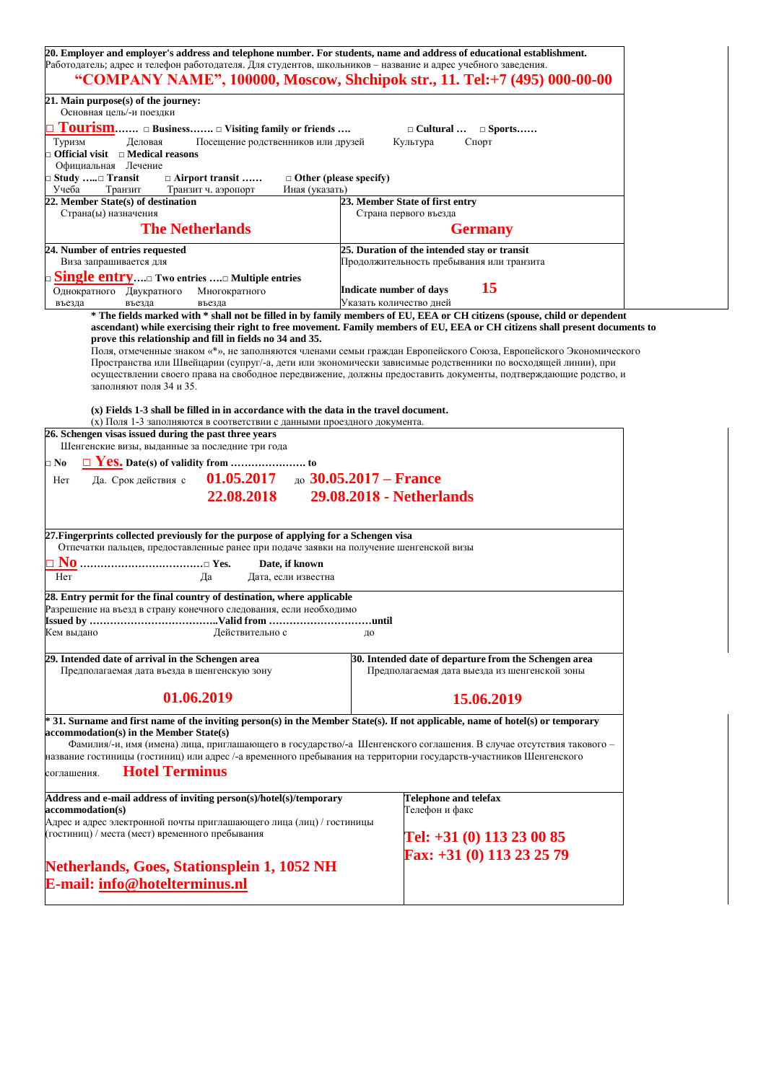| 20. Employer and employer's address and telephone number. For students, name and address of educational establishment.                                                                    |                                                                                                                               |  |  |  |  |  |  |
|-------------------------------------------------------------------------------------------------------------------------------------------------------------------------------------------|-------------------------------------------------------------------------------------------------------------------------------|--|--|--|--|--|--|
| Работодатель; адрес и телефон работодателя. Для студентов, школьников - название и адрес учебного заведения.<br>"COMPANY NAME", 100000, Moscow, Shchipok str., 11. Tel:+7 (495) 000-00-00 |                                                                                                                               |  |  |  |  |  |  |
| 21. Main purpose(s) of the journey:<br>Основная цель/-и поездки                                                                                                                           |                                                                                                                               |  |  |  |  |  |  |
| Tourism □ Business □ Visiting family or friends<br>$\Box$ Cultural $\Box$ Sports                                                                                                          |                                                                                                                               |  |  |  |  |  |  |
| Туризм<br>Посещение родственников или друзей<br>Деловая<br>Культура<br>Спорт<br>$\Box$ Official visit $\Box$ Medical reasons<br>Официальная Лечение                                       |                                                                                                                               |  |  |  |  |  |  |
| □ Study □ Transit<br>$\Box$ Airport transit<br>$\Box$ Other (please specify)                                                                                                              |                                                                                                                               |  |  |  |  |  |  |
| Учеба<br>Иная (указать)<br>Транзит<br>Транзит ч. аэропорт<br>22. Member State(s) of destination                                                                                           | 23. Member State of first entry                                                                                               |  |  |  |  |  |  |
| Страна(ы) назначения                                                                                                                                                                      | Страна первого въезда                                                                                                         |  |  |  |  |  |  |
| <b>The Netherlands</b>                                                                                                                                                                    | <b>Germany</b>                                                                                                                |  |  |  |  |  |  |
| 24. Number of entries requested<br>Виза запрашивается для                                                                                                                                 | 25. Duration of the intended stay or transit<br>Продолжительность пребывания или транзита                                     |  |  |  |  |  |  |
| □ Singl <u>e entry</u> □ Two entries □ Multiple entries                                                                                                                                   |                                                                                                                               |  |  |  |  |  |  |
| Однократного Двукратного<br>Многократного<br>въезда<br>въезда                                                                                                                             | 15<br>Indicate number of days<br>Указать количество дней                                                                      |  |  |  |  |  |  |
| въезда                                                                                                                                                                                    | * The fields marked with * shall not be filled in by family members of EU, EEA or CH citizens (spouse, child or dependent     |  |  |  |  |  |  |
|                                                                                                                                                                                           | ascendant) while exercising their right to free movement. Family members of EU, EEA or CH citizens shall present documents to |  |  |  |  |  |  |
| prove this relationship and fill in fields no 34 and 35.                                                                                                                                  | Поля, отмеченные знаком «*», не заполняются членами семьи граждан Европейского Союза, Европейского Экономического             |  |  |  |  |  |  |
|                                                                                                                                                                                           | Пространства или Швейцарии (супруг/-а, дети или экономически зависимые родственники по восходящей линии), при                 |  |  |  |  |  |  |
| заполняют поля 34 и 35.                                                                                                                                                                   | осуществлении своего права на свободное передвижение, должны предоставить документы, подтверждающие родство, и                |  |  |  |  |  |  |
|                                                                                                                                                                                           |                                                                                                                               |  |  |  |  |  |  |
| (x) Fields 1-3 shall be filled in in accordance with the data in the travel document.<br>(x) Поля 1-3 заполняются в соответствии с данными проездного документа.                          |                                                                                                                               |  |  |  |  |  |  |
| 26. Schengen visas issued during the past three years                                                                                                                                     |                                                                                                                               |  |  |  |  |  |  |
| Шенгенские визы, выданные за последние три года                                                                                                                                           |                                                                                                                               |  |  |  |  |  |  |
| $\square$ No                                                                                                                                                                              |                                                                                                                               |  |  |  |  |  |  |
| 01.05.2017 $\mu$ 30.05.2017 – France<br>Да. Срок действия с<br>Her                                                                                                                        |                                                                                                                               |  |  |  |  |  |  |
| 22.08.2018                                                                                                                                                                                | 29.08.2018 - Netherlands                                                                                                      |  |  |  |  |  |  |
|                                                                                                                                                                                           |                                                                                                                               |  |  |  |  |  |  |
| 27. Fingerprints collected previously for the purpose of applying for a Schengen visa<br>Отпечатки пальцев, предоставленные ранее при подаче заявки на получение шенгенской визы          |                                                                                                                               |  |  |  |  |  |  |
| Date, if known                                                                                                                                                                            |                                                                                                                               |  |  |  |  |  |  |
| Her<br>Да<br>Дата, если известна                                                                                                                                                          |                                                                                                                               |  |  |  |  |  |  |
| 28. Entry permit for the final country of destination, where applicable                                                                                                                   |                                                                                                                               |  |  |  |  |  |  |
| Разрешение на въезд в страну конечного следования, если необходимо                                                                                                                        |                                                                                                                               |  |  |  |  |  |  |
| Issued by<br>Кем выдано<br>Действительно с                                                                                                                                                | until…<br>до                                                                                                                  |  |  |  |  |  |  |
|                                                                                                                                                                                           |                                                                                                                               |  |  |  |  |  |  |
| 29. Intended date of arrival in the Schengen area<br>Предполагаемая дата въезда в шенгенскую зону                                                                                         | 30. Intended date of departure from the Schengen area<br>Предполагаемая дата выезда из шенгенской зоны                        |  |  |  |  |  |  |
|                                                                                                                                                                                           |                                                                                                                               |  |  |  |  |  |  |
| 01.06.2019                                                                                                                                                                                | 15.06.2019                                                                                                                    |  |  |  |  |  |  |
| * 31. Surname and first name of the inviting person(s) in the Member State(s). If not applicable, name of hotel(s) or temporary                                                           |                                                                                                                               |  |  |  |  |  |  |
| accommodation(s) in the Member State(s)                                                                                                                                                   | Фамилия/-и, имя (имена) лица, приглашающего в государство/-а Шенгенского соглашения. В случае отсутствия такового -           |  |  |  |  |  |  |
| название гостиницы (гостиниц) или адрес /-а временного пребывания на территории государств-участников Шенгенского                                                                         |                                                                                                                               |  |  |  |  |  |  |
| <b>Hotel Terminus</b><br>соглашения.                                                                                                                                                      |                                                                                                                               |  |  |  |  |  |  |
| Address and e-mail address of inviting person(s)/hotel(s)/temporary<br>accommodation(s)                                                                                                   | <b>Telephone and telefax</b><br>Телефон и факс                                                                                |  |  |  |  |  |  |
| Адрес и адрес электронной почты приглашающего лица (лиц) / гостиницы                                                                                                                      |                                                                                                                               |  |  |  |  |  |  |
| (гостиниц) / места (мест) временного пребывания                                                                                                                                           | Tel: $+31(0)$ 113 23 00 85                                                                                                    |  |  |  |  |  |  |
|                                                                                                                                                                                           | Fax: +31 (0) 113 23 25 79                                                                                                     |  |  |  |  |  |  |
| Netherlands, Goes, Stationsplein 1, 1052 NH<br>E-mail: info@hotelterminus.nl                                                                                                              |                                                                                                                               |  |  |  |  |  |  |
|                                                                                                                                                                                           |                                                                                                                               |  |  |  |  |  |  |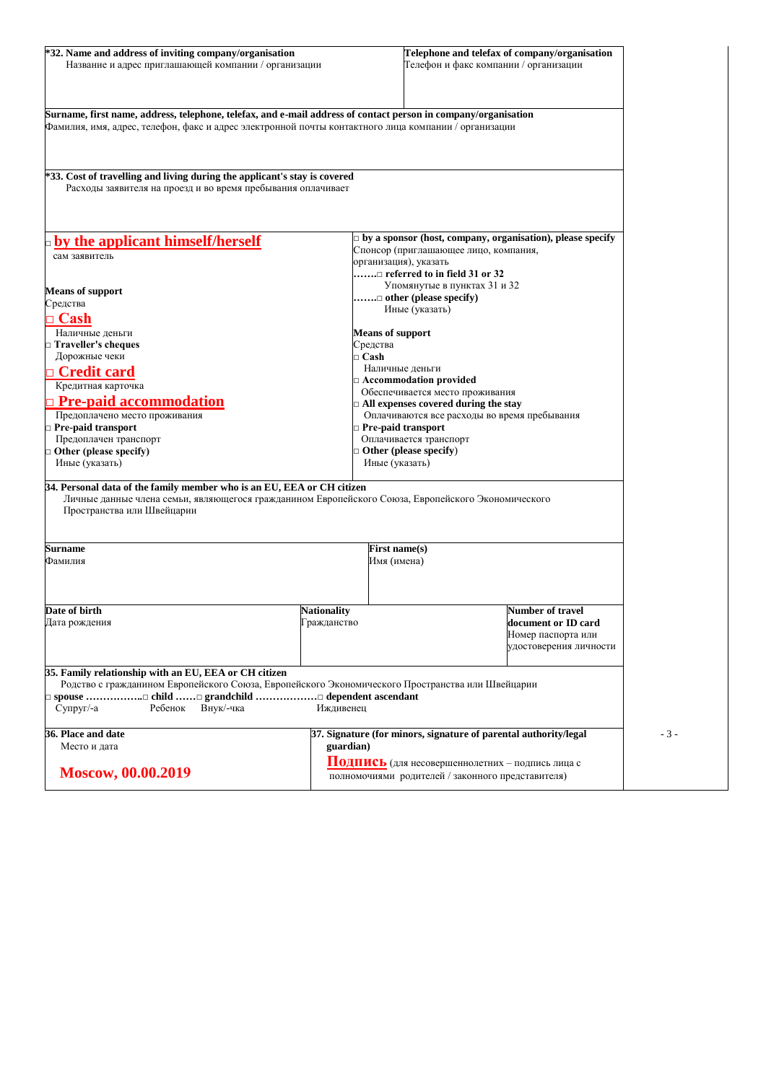| *32. Name and address of inviting company/organisation<br>Название и адрес приглашающей компании / организации                                                                                                         |                    |                                                                                | Telephone and telefax of company/organisation<br>Телефон и факс компании / организации                |       |
|------------------------------------------------------------------------------------------------------------------------------------------------------------------------------------------------------------------------|--------------------|--------------------------------------------------------------------------------|-------------------------------------------------------------------------------------------------------|-------|
| Surname, first name, address, telephone, telefax, and e-mail address of contact person in company/organisation<br>Фамилия, имя, адрес, телефон, факс и адрес электронной почты контактного лица компании / организации |                    |                                                                                |                                                                                                       |       |
| *33. Cost of travelling and living during the applicant's stay is covered<br>Расходы заявителя на проезд и во время пребывания оплачивает                                                                              |                    |                                                                                |                                                                                                       |       |
| <b>phy the applicant himself/herself</b>                                                                                                                                                                               |                    | Спонсор (приглашающее лицо, компания,                                          | $\Box$ by a sponsor (host, company, organisation), please specify                                     |       |
| сам заявитель                                                                                                                                                                                                          |                    | организация), указать                                                          |                                                                                                       |       |
|                                                                                                                                                                                                                        |                    | $\ldots \ldots \square$ referred to in field 31 or 32                          |                                                                                                       |       |
| <b>Means of support</b>                                                                                                                                                                                                |                    | Упомянутые в пунктах 31 и 32<br>$\ldots \ldots \square$ other (please specify) |                                                                                                       |       |
| Средства                                                                                                                                                                                                               |                    | Иные (указать)                                                                 |                                                                                                       |       |
| $\mathsf{\supset} \mathbf{Cash}$                                                                                                                                                                                       |                    |                                                                                |                                                                                                       |       |
| Наличные деньги                                                                                                                                                                                                        |                    | <b>Means of support</b>                                                        |                                                                                                       |       |
| $\Box$ Traveller's cheques<br>Дорожные чеки                                                                                                                                                                            | $\sqcap$ Cash      | Средства                                                                       |                                                                                                       |       |
| <u>n Credit card</u>                                                                                                                                                                                                   |                    | Наличные деньги                                                                |                                                                                                       |       |
| Кредитная карточка                                                                                                                                                                                                     |                    | $\Box$ Accommodation provided                                                  |                                                                                                       |       |
| <b>Pre-paid accommodation</b>                                                                                                                                                                                          |                    | Обеспечивается место проживания                                                |                                                                                                       |       |
| Предоплачено место проживания                                                                                                                                                                                          |                    | $\Box$ All expenses covered during the stay                                    | Оплачиваются все расходы во время пребывания                                                          |       |
| $\Box$ Pre-paid transport                                                                                                                                                                                              |                    | $\Box$ Pre-paid transport                                                      |                                                                                                       |       |
| Предоплачен транспорт                                                                                                                                                                                                  |                    | Оплачивается транспорт                                                         |                                                                                                       |       |
| $\Box$ Other (please specify)                                                                                                                                                                                          |                    | $\Box$ Other (please specify)                                                  |                                                                                                       |       |
| Иные (указать)                                                                                                                                                                                                         |                    | Иные (указать)                                                                 |                                                                                                       |       |
| 34. Personal data of the family member who is an EU, EEA or CH citizen<br>Личные данные члена семьи, являющегося гражданином Европейского Союза, Европейского Экономического<br>Пространства или Швейцарии             |                    |                                                                                |                                                                                                       |       |
| Surname                                                                                                                                                                                                                |                    | First name(s)                                                                  |                                                                                                       |       |
| Фамилия                                                                                                                                                                                                                |                    | Имя (имена)                                                                    |                                                                                                       |       |
| Date of birth                                                                                                                                                                                                          | <b>Nationality</b> |                                                                                | <b>Number of travel</b>                                                                               |       |
| Дата рождения                                                                                                                                                                                                          | Гражданство        |                                                                                | document or ID card<br>Номер паспорта или<br>удостоверения личности                                   |       |
| 35. Family relationship with an EU, EEA or CH citizen<br>Родство с гражданином Европейского Союза, Европейского Экономического Пространства или Швейцарии<br>$Cv$ пруг $-a$<br>Ребенок<br>Внук/-чка                    | Иждивенец          |                                                                                |                                                                                                       |       |
| 36. Place and date                                                                                                                                                                                                     |                    |                                                                                | 37. Signature (for minors, signature of parental authority/legal                                      | $-3-$ |
| Место и дата                                                                                                                                                                                                           | guardian)          |                                                                                |                                                                                                       |       |
| Moscow, 00.00.2019                                                                                                                                                                                                     |                    |                                                                                | Подпись (для несовершеннолетних - подпись лица с<br>полномочиями родителей / законного представителя) |       |